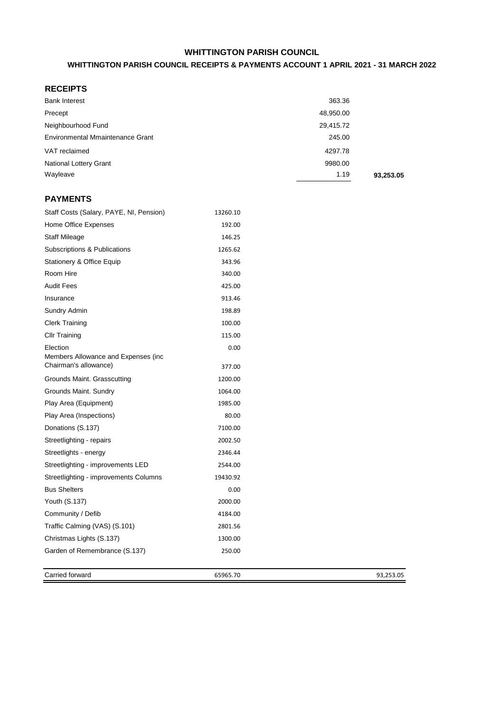## **WHITTINGTON PARISH COUNCIL**

#### **WHITTINGTON PARISH COUNCIL RECEIPTS & PAYMENTS ACCOUNT 1 APRIL 2021 - 31 MARCH 2022**

## **RECEIPTS**

| <b>Bank Interest</b>             | 363.36    |           |
|----------------------------------|-----------|-----------|
| Precept                          | 48,950.00 |           |
| Neighbourhood Fund               | 29,415.72 |           |
| Environmental Mmaintenance Grant | 245.00    |           |
| VAT reclaimed                    | 4297.78   |           |
| <b>National Lottery Grant</b>    | 9980.00   |           |
| Wayleave                         | 1.19      | 93,253.05 |

### **PAYMENTS**

| Staff Costs (Salary, PAYE, NI, Pension)                       | 13260.10 |
|---------------------------------------------------------------|----------|
| Home Office Expenses                                          | 192.00   |
| <b>Staff Mileage</b>                                          | 146.25   |
| Subscriptions & Publications                                  | 1265.62  |
| Stationery & Office Equip                                     | 343.96   |
| Room Hire                                                     | 340.00   |
| <b>Audit Fees</b>                                             | 425.00   |
| Insurance                                                     | 913.46   |
| Sundry Admin                                                  | 198.89   |
| <b>Clerk Training</b>                                         | 100.00   |
| <b>Cllr Training</b>                                          | 115.00   |
| Election                                                      | 0.00     |
| Members Allowance and Expenses (inc.<br>Chairman's allowance) | 377.00   |
| Grounds Maint. Grasscutting                                   | 1200.00  |
| Grounds Maint. Sundry                                         | 1064.00  |
| Play Area (Equipment)                                         | 1985.00  |
| Play Area (Inspections)                                       | 80.00    |
| Donations (S.137)                                             | 7100.00  |
| Streetlighting - repairs                                      | 2002.50  |
| Streetlights - energy                                         | 2346.44  |
| Streetlighting - improvements LED                             | 2544.00  |
| Streetlighting - improvements Columns                         | 19430.92 |
| <b>Bus Shelters</b>                                           | 0.00     |
| Youth (S.137)                                                 | 2000.00  |
| Community / Defib                                             | 4184.00  |
| Traffic Calming (VAS) (S.101)                                 | 2801.56  |
| Christmas Lights (S.137)                                      | 1300.00  |
| Garden of Remembrance (S.137)                                 | 250.00   |
|                                                               |          |
|                                                               |          |

Carried forward 65965.70 65965.70 93,253.05